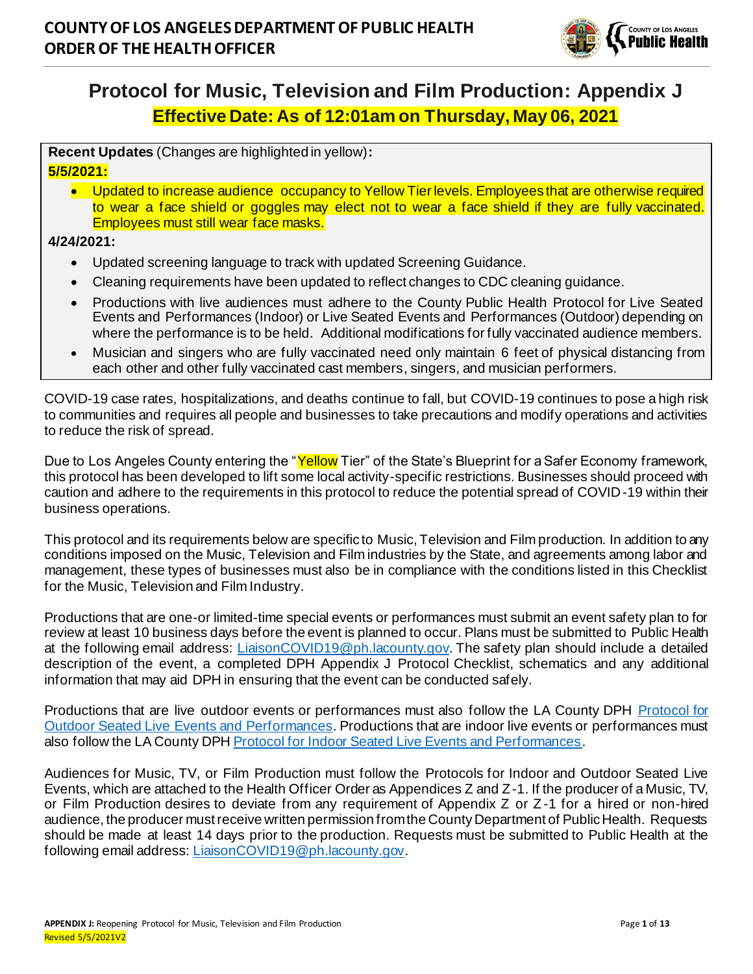

# **Protocol for Music, Television and Film Production: Appendix J Effective Date: As of 12:01am on Thursday, May 06, 2021**

**Recent Updates** (Changes are highlighted in yellow)**: 5/5/2021:**

• Updated to increase audience occupancy to Yellow Tier levels. Employees that are otherwise required to wear a face shield or goggles may elect not to wear a face shield if they are fully vaccinated. Employees must still wear face masks.

**4/24/2021:**

- Updated screening language to track with updated Screening Guidance.
- Cleaning requirements have been updated to reflect changes to CDC cleaning guidance.
- Productions with live audiences must adhere to the County Public Health Protocol for Live Seated Events and Performances (Indoor) or Live Seated Events and Performances (Outdoor) depending on where the performance is to be held. Additional modifications for fully vaccinated audience members.
- Musician and singers who are fully vaccinated need only maintain 6 feet of physical distancing from each other and other fully vaccinated cast members, singers, and musician performers.

COVID-19 case rates, hospitalizations, and deaths continue to fall, but COVID-19 continues to pose a high risk to communities and requires all people and businesses to take precautions and modify operations and activities to reduce the risk of spread.

Due to Los Angeles County entering the "Yellow Tier" of the State's Blueprint for a Safer Economy framework, this protocol has been developed to lift some local activity-specific restrictions. Businesses should proceed with caution and adhere to the requirements in this protocol to reduce the potential spread of COVID-19 within their business operations.

This protocol and its requirements below are specific to Music, Television and Film production. In addition to any conditions imposed on the Music, Television and Film industries by the State, and agreements among labor and management, these types of businesses must also be in compliance with the conditions listed in this Checklist for the Music, Television and Film Industry.

Productions that are one-or limited-time special events or performances must submit an event safety plan to for review at least 10 business days before the event is planned to occur. Plans must be submitted to Public Health at the following email address: LiaisonCOVID19@ph.lacounty.gov. The safety plan should include a detailed description of the event, a completed DPH Appendix J Protocol Checklist, schematics and any additional information that may aid DPH in ensuring that the event can be conducted safely.

Productions that are live outdoor events or performances must also follow the LA County DPH Protocol for Outdoor Seated Live Events and Performances. Productions that are indoor live events or performances must also follow the LA County DPH Protocol for Indoor Seated Live Events and Performances.

Audiences for Music, TV, or Film Production must follow the Protocols for Indoor and Outdoor Seated Live Events, which are attached to the Health Officer Order as Appendices Z and Z-1. If the producer of a Music, TV, or Film Production desires to deviate from any requirement of Appendix Z or Z-1 for a hired or non-hired audience, the producer must receive written permission from the County Department of Public Health. Requests should be made at least 14 days prior to the production. Requests must be submitted to Public Health at the following email address: LiaisonCOVID19@ph.lacounty.gov.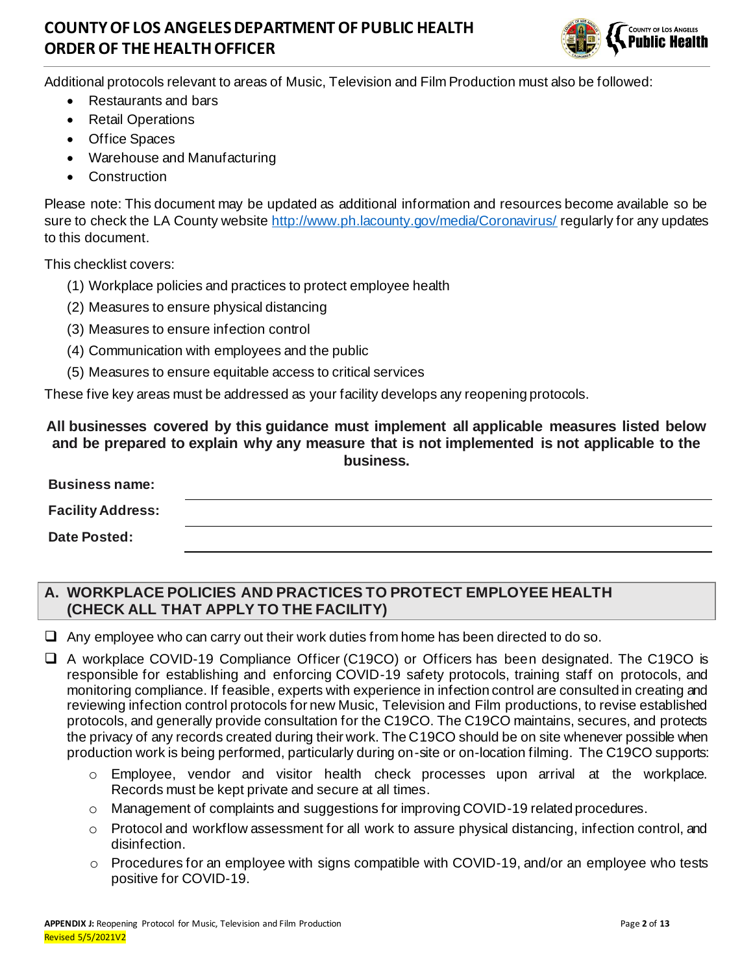

Additional protocols relevant to areas of Music, Television and Film Production must also be followed:

- Restaurants and bars
- Retail Operations
- Office Spaces
- Warehouse and Manufacturing
- Construction

Please note: This document may be updated as additional information and resources become available so be sure to check the LA County website http://www.ph.lacounty.gov/media/Coronavirus/ regularly for any updates to this document.

This checklist covers:

- (1) Workplace policies and practices to protect employee health
- (2) Measures to ensure physical distancing
- (3) Measures to ensure infection control
- (4) Communication with employees and the public
- (5) Measures to ensure equitable access to critical services

These five key areas must be addressed as your facility develops any reopening protocols.

#### **All businesses covered by this guidance must implement all applicable measures listed below and be prepared to explain why any measure that is not implemented is not applicable to the business.**

| <b>Business name:</b>    |  |  |
|--------------------------|--|--|
| <b>Facility Address:</b> |  |  |
| <b>Date Posted:</b>      |  |  |

### **A. WORKPLACE POLICIES AND PRACTICES TO PROTECT EMPLOYEE HEALTH (CHECK ALL THAT APPLY TO THE FACILITY)**

 $\Box$  Any employee who can carry out their work duties from home has been directed to do so.

❑ A workplace COVID-19 Compliance Officer (C19CO) or Officers has been designated. The C19CO is responsible for establishing and enforcing COVID-19 safety protocols, training staff on protocols, and monitoring compliance. If feasible, experts with experience in infection control are consulted in creating and reviewing infection control protocols for new Music, Television and Film productions, to revise established protocols, and generally provide consultation for the C19CO. The C19CO maintains, secures, and protects the privacy of any records created during their work. The C19CO should be on site whenever possible when production work is being performed, particularly during on-site or on-location filming. The C19CO supports:

- o Employee, vendor and visitor health check processes upon arrival at the workplace. Records must be kept private and secure at all times.
- o Management of complaints and suggestions for improving COVID-19 related procedures.
- $\circ$  Protocol and workflow assessment for all work to assure physical distancing, infection control, and disinfection.
- o Procedures for an employee with signs compatible with COVID-19, and/or an employee who tests positive for COVID-19.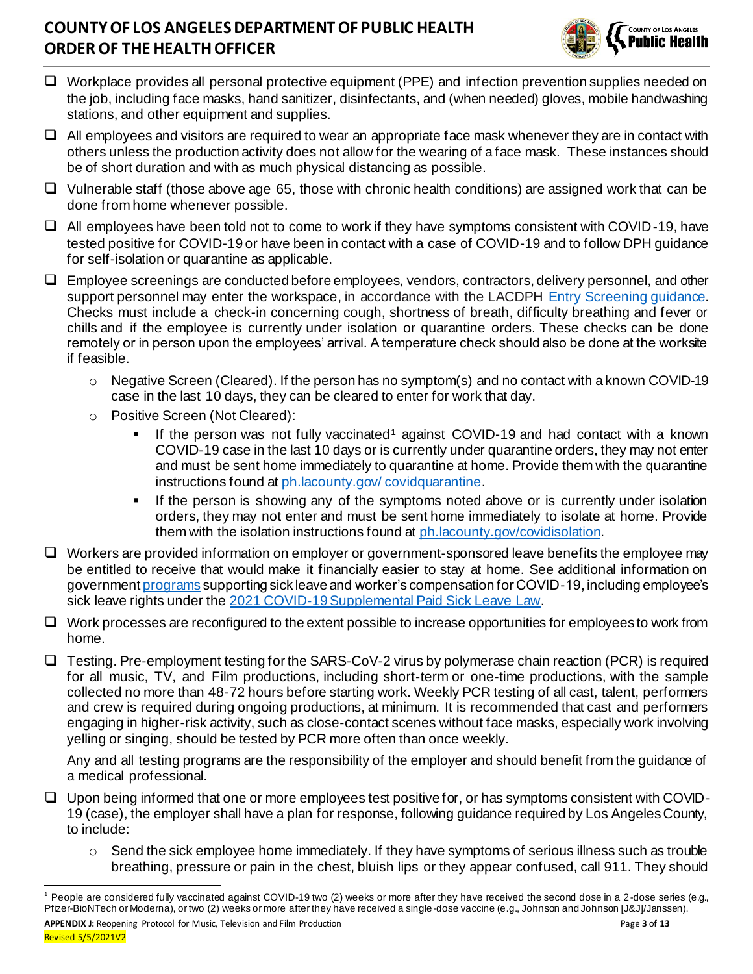

- ❑ Workplace provides all personal protective equipment (PPE) and infection prevention supplies needed on the job, including face masks, hand sanitizer, disinfectants, and (when needed) gloves, mobile handwashing stations, and other equipment and supplies.
- ❑ All employees and visitors are required to wear an appropriate face mask whenever they are in contact with others unless the production activity does not allow for the wearing of a face mask. These instances should be of short duration and with as much physical distancing as possible.
- ❑ Vulnerable staff (those above age 65, those with chronic health conditions) are assigned work that can be done from home whenever possible.
- ❑ All employees have been told not to come to work if they have symptoms consistent with COVID-19, have tested positive for COVID-19 or have been in contact with a case of COVID-19 and to follow DPH guidance for self-isolation or quarantine as applicable.
- ❑ Employee screenings are conducted before employees, vendors, contractors, delivery personnel, and other support personnel may enter the workspace, in accordance with the LACDPH Entry Screening quidance. Checks must include a check-in concerning cough, shortness of breath, difficulty breathing and fever or chills and if the employee is currently under isolation or quarantine orders. These checks can be done remotely or in person upon the employees' arrival. A temperature check should also be done at the worksite if feasible.
	- $\circ$  Negative Screen (Cleared). If the person has no symptom(s) and no contact with a known COVID-19 case in the last 10 days, they can be cleared to enter for work that day.
	- o Positive Screen (Not Cleared):
		- If the person was not fully vaccinated<sup>1</sup> against COVID-19 and had contact with a known COVID-19 case in the last 10 days or is currently under quarantine orders, they may not enter and must be sent home immediately to quarantine at home. Provide them with the quarantine instructions found at ph.lacounty.gov/ covidquarantine.
		- **■** If the person is showing any of the symptoms noted above or is currently under isolation orders, they may not enter and must be sent home immediately to isolate at home. Provide them with the isolation instructions found at ph.lacounty.gov/covidisolation.
- ❑ Workers are provided information on employer or government-sponsored leave benefits the employee may be entitled to receive that would make it financially easier to stay at home. See additional information on government programs supporting sick leave and worker's compensation for COVID-19, including employee's sick leave rights under the 2021 COVID-19 Supplemental Paid Sick Leave Law.
- ❑ Work processes are reconfigured to the extent possible to increase opportunities for employees to work from home.
- ❑ Testing. Pre-employment testing for the SARS-CoV-2 virus by polymerase chain reaction (PCR) is required for all music, TV, and Film productions, including short-term or one-time productions, with the sample collected no more than 48-72 hours before starting work. Weekly PCR testing of all cast, talent, performers and crew is required during ongoing productions, at minimum. It is recommended that cast and performers engaging in higher-risk activity, such as close-contact scenes without face masks, especially work involving yelling or singing, should be tested by PCR more often than once weekly.

Any and all testing programs are the responsibility of the employer and should benefit from the guidance of a medical professional.

- ❑ Upon being informed that one or more employees test positive for, or has symptoms consistent with COVID-19 (case), the employer shall have a plan for response, following guidance required by Los Angeles County, to include:
	- o Send the sick employee home immediately. If they have symptoms of serious illness such as trouble breathing, pressure or pain in the chest, bluish lips or they appear confused, call 911. They should

<sup>&</sup>lt;sup>1</sup> People are considered fully vaccinated against COVID-19 two (2) weeks or more after they have received the second dose in a 2-dose series (e.g., Pfizer-BioNTech or Moderna), or two (2) weeks or more after they have received a single-dose vaccine (e.g., Johnson and Johnson [J&J]/Janssen).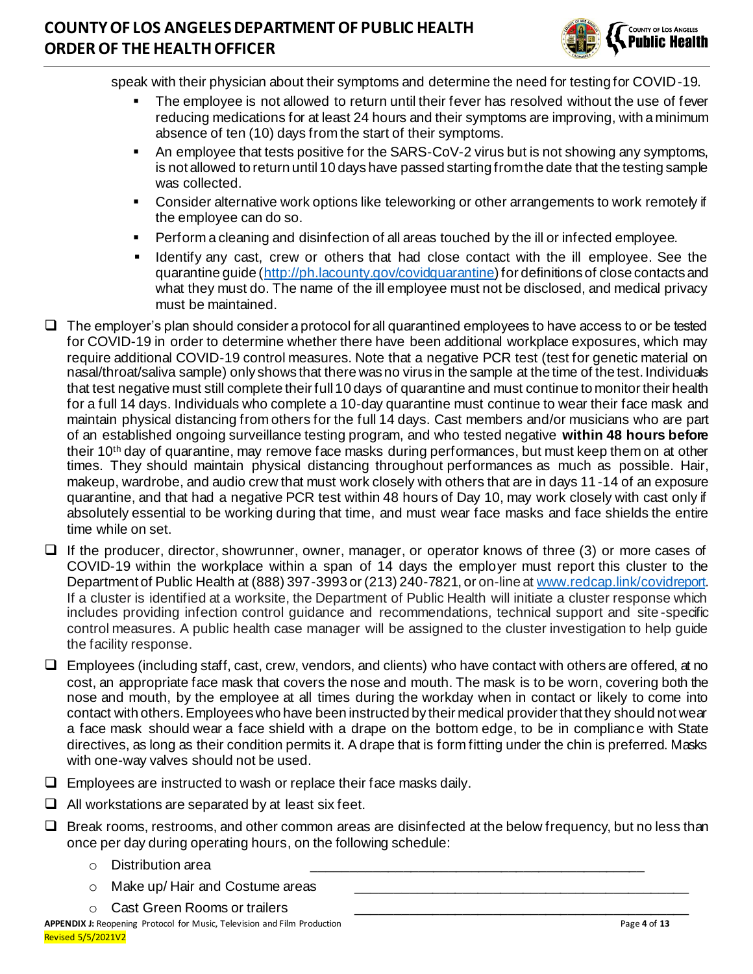

speak with their physician about their symptoms and determine the need for testing for COVID-19.

- The employee is not allowed to return until their fever has resolved without the use of fever reducing medications for at least 24 hours and their symptoms are improving, with a minimum absence of ten (10) days from the start of their symptoms.
- An employee that tests positive for the SARS-CoV-2 virus but is not showing any symptoms, is not allowed to return until 10 days have passed starting from the date that the testing sample was collected.
- **EXECONSTANT CONSTANT CONSTANT IN A LOGGIST CONSTANT III** Consider alternately if the employee can do so.
- Perform a cleaning and disinfection of all areas touched by the ill or infected employee.
- Identify any cast, crew or others that had close contact with the ill employee. See the quarantine guide (http://ph.lacounty.gov/covidquarantine) for definitions of close contacts and what they must do. The name of the ill employee must not be disclosed, and medical privacy must be maintained.
- ❑ The employer's plan should consider a protocol for all quarantined employees to have access to or be tested for COVID-19 in order to determine whether there have been additional workplace exposures, which may require additional COVID-19 control measures. Note that a negative PCR test (test for genetic material on nasal/throat/saliva sample) only shows that there was no virus in the sample at the time of the test. Individuals that test negative must still complete their full 10 days of quarantine and must continue to monitor their health for a full 14 days. Individuals who complete a 10-day quarantine must continue to wear their face mask and maintain physical distancing from others for the full 14 days. Cast members and/or musicians who are part of an established ongoing surveillance testing program, and who tested negative **within 48 hours before** their 10th day of quarantine, may remove face masks during performances, but must keep them on at other times. They should maintain physical distancing throughout performances as much as possible. Hair, makeup, wardrobe, and audio crew that must work closely with others that are in days 11-14 of an exposure quarantine, and that had a negative PCR test within 48 hours of Day 10, may work closely with cast only if absolutely essential to be working during that time, and must wear face masks and face shields the entire time while on set.
- ❑ If the producer, director, showrunner, owner, manager, or operator knows of three (3) or more cases of COVID-19 within the workplace within a span of 14 days the employer must report this cluster to the Department of Public Health at (888) 397-3993 or (213) 240-7821, or on-line at www.redcap.link/covidreport. If a cluster is identified at a worksite, the Department of Public Health will initiate a cluster response which includes providing infection control guidance and recommendations, technical support and site -specific control measures. A public health case manager will be assigned to the cluster investigation to help guide the facility response.
- ❑ Employees (including staff, cast, crew, vendors, and clients) who have contact with others are offered, at no cost, an appropriate face mask that covers the nose and mouth. The mask is to be worn, covering both the nose and mouth, by the employee at all times during the workday when in contact or likely to come into contact with others. Employees who have been instructed by their medical provider that they should not wear a face mask should wear a face shield with a drape on the bottom edge, to be in compliance with State directives, as long as their condition permits it. A drape that is form fitting under the chin is preferred. Masks with one-way valves should not be used.
- $\Box$  Employees are instructed to wash or replace their face masks daily.
- $\Box$  All workstations are separated by at least six feet.
- ❑ Break rooms, restrooms, and other common areas are disinfected at the below frequency, but no less than once per day during operating hours, on the following schedule:
	- $\circ$  Distribution area
	- $\circ$  Make up/ Hair and Costume areas
	- $\circ$  Cast Green Rooms or trailers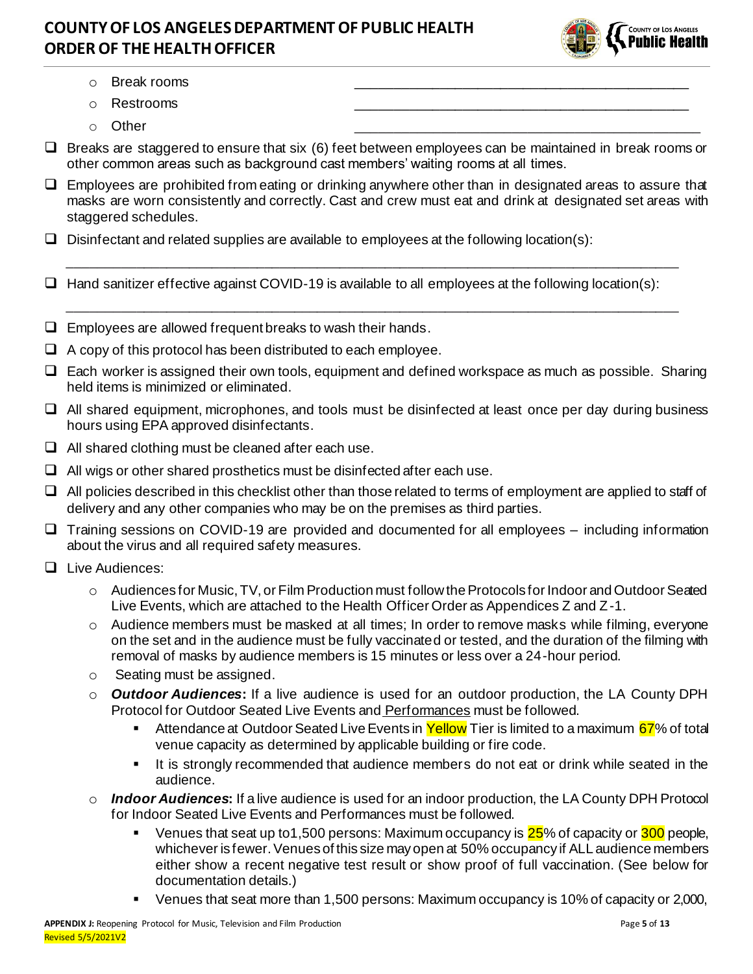

- $\circ$  Break rooms
- o Restrooms \_\_\_\_\_\_\_\_\_\_\_\_\_\_\_\_\_\_\_\_\_\_\_\_\_\_\_\_\_\_\_\_\_\_\_\_\_\_\_\_\_\_\_\_
- o Other \_\_\_\_\_\_\_\_\_\_\_\_\_\_\_\_\_\_\_\_\_\_\_\_\_\_\_\_\_\_\_\_\_\_\_\_\_\_\_\_\_\_\_\_
- $\Box$  Breaks are staggered to ensure that six (6) feet between employees can be maintained in break rooms or other common areas such as background cast members' waiting rooms at all times.
- ❑ Employees are prohibited from eating or drinking anywhere other than in designated areas to assure that masks are worn consistently and correctly. Cast and crew must eat and drink at designated set areas with staggered schedules.

\_\_\_\_\_\_\_\_\_\_\_\_\_\_\_\_\_\_\_\_\_\_\_\_\_\_\_\_\_\_\_\_\_\_\_\_\_\_\_\_\_\_\_\_\_\_\_\_\_\_\_\_\_\_\_\_\_\_\_\_\_\_\_\_\_\_\_\_\_\_\_\_\_\_\_\_\_\_\_\_\_

\_\_\_\_\_\_\_\_\_\_\_\_\_\_\_\_\_\_\_\_\_\_\_\_\_\_\_\_\_\_\_\_\_\_\_\_\_\_\_\_\_\_\_\_\_\_\_\_\_\_\_\_\_\_\_\_\_\_\_\_\_\_\_\_\_\_\_\_\_\_\_\_\_\_\_\_\_\_\_\_\_

- $\Box$  Disinfectant and related supplies are available to employees at the following location(s):
- ❑ Hand sanitizer effective against COVID-19 is available to all employees at the following location(s):
- $\Box$  Employees are allowed frequent breaks to wash their hands.
- $\Box$  A copy of this protocol has been distributed to each employee.
- ❑ Each worker is assigned their own tools, equipment and defined workspace as much as possible. Sharing held items is minimized or eliminated.
- ❑ All shared equipment, microphones, and tools must be disinfected at least once per day during business hours using EPA approved disinfectants.
- $\Box$  All shared clothing must be cleaned after each use.
- $\Box$  All wigs or other shared prosthetics must be disinfected after each use.
- ❑ All policies described in this checklist other than those related to terms of employment are applied to staff of delivery and any other companies who may be on the premises as third parties.
- ❑ Training sessions on COVID-19 are provided and documented for all employees including information about the virus and all required safety measures.
- ❑ Live Audiences:
	- o Audiences for Music, TV, or Film Production must follow the Protocols for Indoor and Outdoor Seated Live Events, which are attached to the Health Officer Order as Appendices Z and Z-1.
	- $\circ$  Audience members must be masked at all times; In order to remove masks while filming, everyone on the set and in the audience must be fully vaccinated or tested, and the duration of the filming with removal of masks by audience members is 15 minutes or less over a 24-hour period.
	- o Seating must be assigned.
	- o *Outdoor Audiences***:** If a live audience is used for an outdoor production, the LA County DPH Protocol for Outdoor Seated Live Events and Performances must be followed.
		- Attendance at Outdoor Seated Live Events in Yellow Tier is limited to a maximum 67% of total venue capacity as determined by applicable building or fire code.
		- It is strongly recommended that audience members do not eat or drink while seated in the audience.
	- o *Indoor Audiences***:** If a live audience is used for an indoor production, the LA County DPH Protocol for Indoor Seated Live Events and Performances must be followed.
		- Venues that seat up to1,500 persons: Maximum occupancy is 25% of capacity or 300 people, whichever is fewer. Venues of this size may open at 50% occupancy if ALL audience members either show a recent negative test result or show proof of full vaccination. (See below for documentation details.)
		- Venues that seat more than 1,500 persons: Maximum occupancy is 10% of capacity or 2,000,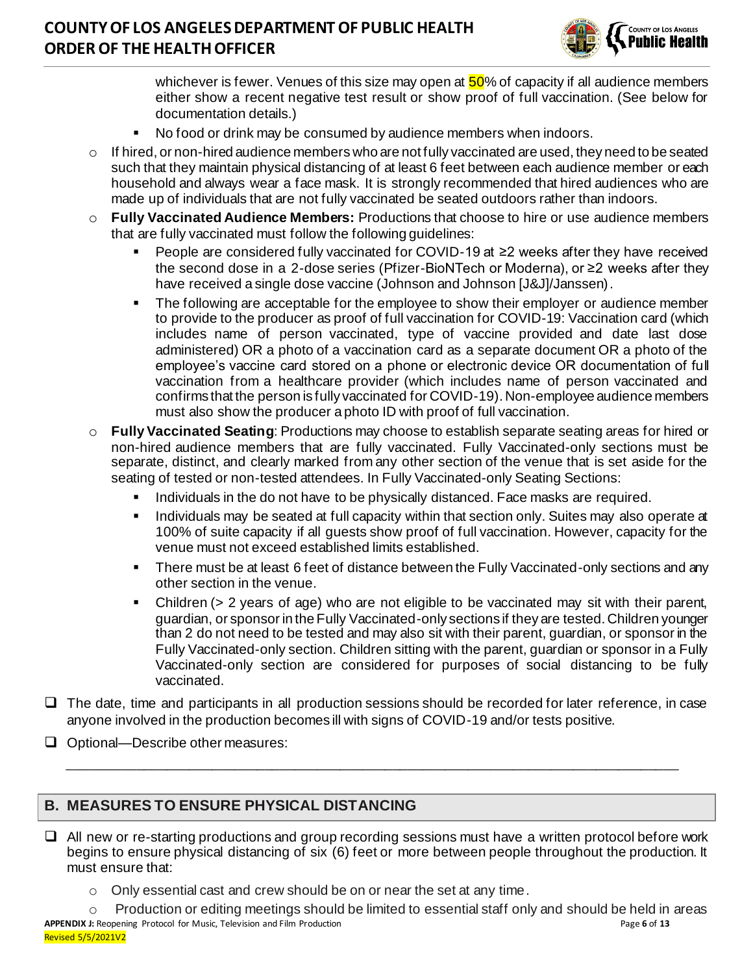

whichever is fewer. Venues of this size may open at  $50\%$  of capacity if all audience members either show a recent negative test result or show proof of full vaccination. (See below for documentation details.)

- No food or drink may be consumed by audience members when indoors.
- o If hired, or non-hired audience members who are not fully vaccinated are used, they need to be seated such that they maintain physical distancing of at least 6 feet between each audience member or each household and always wear a face mask. It is strongly recommended that hired audiences who are made up of individuals that are not fully vaccinated be seated outdoors rather than indoors.
- o **Fully Vaccinated Audience Members:** Productions that choose to hire or use audience members that are fully vaccinated must follow the following guidelines:
	- People are considered fully vaccinated for COVID-19 at ≥2 weeks after they have received the second dose in a 2-dose series (Pfizer-BioNTech or Moderna), or ≥2 weeks after they have received a single dose vaccine (Johnson and Johnson [J&J]/Janssen).
	- **•** The following are acceptable for the employee to show their employer or audience member to provide to the producer as proof of full vaccination for COVID-19: Vaccination card (which includes name of person vaccinated, type of vaccine provided and date last dose administered) OR a photo of a vaccination card as a separate document OR a photo of the employee's vaccine card stored on a phone or electronic device OR documentation of full vaccination from a healthcare provider (which includes name of person vaccinated and confirms that the person is fully vaccinated for COVID-19). Non-employee audience members must also show the producer a photo ID with proof of full vaccination.
- o **Fully Vaccinated Seating**: Productions may choose to establish separate seating areas for hired or non-hired audience members that are fully vaccinated. Fully Vaccinated-only sections must be separate, distinct, and clearly marked from any other section of the venue that is set aside for the seating of tested or non-tested attendees. In Fully Vaccinated-only Seating Sections:
	- Individuals in the do not have to be physically distanced. Face masks are required.
	- **EXED Individuals may be seated at full capacity within that section only. Suites may also operate at all standard Figures** 100% of suite capacity if all guests show proof of full vaccination. However, capacity for the venue must not exceed established limits established.
	- **There must be at least 6 feet of distance between the Fully Vaccinated-only sections and any** other section in the venue.
	- Children (> 2 years of age) who are not eligible to be vaccinated may sit with their parent, guardian, or sponsor in the Fully Vaccinated-only sections if they are tested. Children younger than 2 do not need to be tested and may also sit with their parent, guardian, or sponsor in the Fully Vaccinated-only section. Children sitting with the parent, guardian or sponsor in a Fully Vaccinated-only section are considered for purposes of social distancing to be fully vaccinated.
- ❑ The date, time and participants in all production sessions should be recorded for later reference, in case anyone involved in the production becomes ill with signs of COVID-19 and/or tests positive.

\_\_\_\_\_\_\_\_\_\_\_\_\_\_\_\_\_\_\_\_\_\_\_\_\_\_\_\_\_\_\_\_\_\_\_\_\_\_\_\_\_\_\_\_\_\_\_\_\_\_\_\_\_\_\_\_\_\_\_\_\_\_\_\_\_\_\_\_\_\_\_\_\_\_\_\_\_\_\_\_\_

❑ Optional—Describe other measures:

### **B. MEASURES TO ENSURE PHYSICAL DISTANCING**

- ❑ All new or re-starting productions and group recording sessions must have a written protocol before work begins to ensure physical distancing of six (6) feet or more between people throughout the production. It must ensure that:
	- $\circ$  Only essential cast and crew should be on or near the set at any time.

**APPENDIX J:** Reopening Protocol for Music, Television and Film Production Page **6** of **13** Revised 5/5/2021V2  $\circ$  Production or editing meetings should be limited to essential staff only and should be held in areas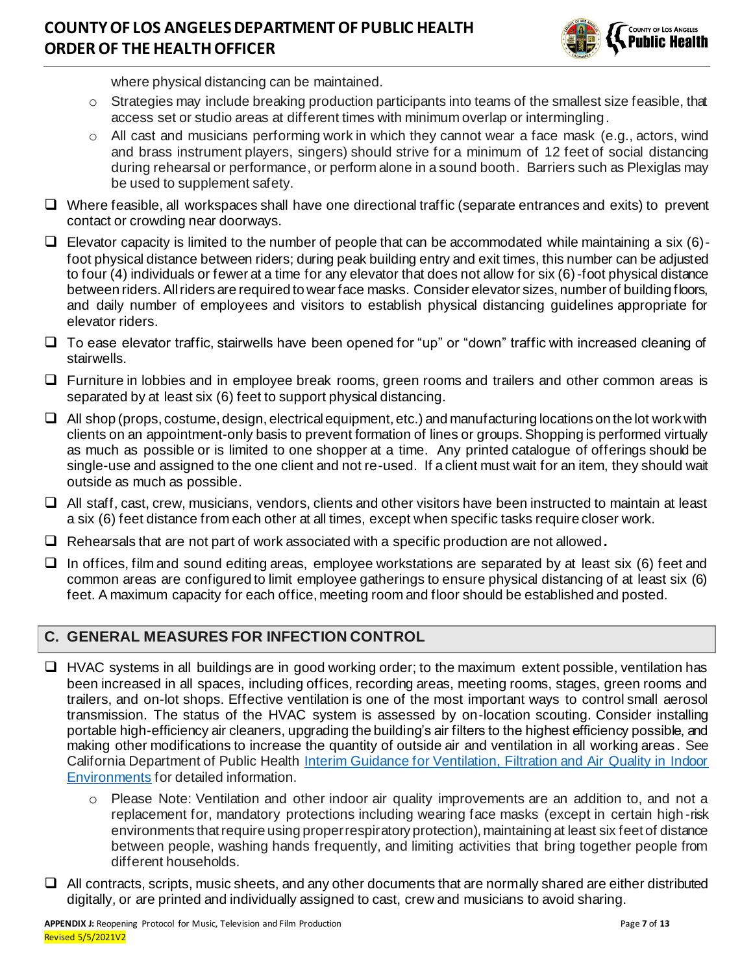

where physical distancing can be maintained.

- o Strategies may include breaking production participants into teams of the smallest size feasible, that access set or studio areas at different times with minimum overlap or intermingling.
- $\circ$  All cast and musicians performing work in which they cannot wear a face mask (e.g., actors, wind and brass instrument players, singers) should strive for a minimum of 12 feet of social distancing during rehearsal or performance, or perform alone in a sound booth. Barriers such as Plexiglas may be used to supplement safety.
- ❑ Where feasible, all workspaces shall have one directional traffic (separate entrances and exits) to prevent contact or crowding near doorways.
- $\Box$  Elevator capacity is limited to the number of people that can be accommodated while maintaining a six (6)foot physical distance between riders; during peak building entry and exit times, this number can be adjusted to four (4) individuals or fewer at a time for any elevator that does not allow for six (6)-foot physical distance between riders. All riders are required to wear face masks. Consider elevator sizes, number of building floors, and daily number of employees and visitors to establish physical distancing guidelines appropriate for elevator riders.
- ❑ To ease elevator traffic, stairwells have been opened for "up" or "down" traffic with increased cleaning of stairwells.
- ❑ Furniture in lobbies and in employee break rooms, green rooms and trailers and other common areas is separated by at least six (6) feet to support physical distancing.
- ❑ All shop (props, costume, design, electrical equipment, etc.) and manufacturing locations on the lot work with clients on an appointment-only basis to prevent formation of lines or groups. Shopping is performed virtually as much as possible or is limited to one shopper at a time. Any printed catalogue of offerings should be single-use and assigned to the one client and not re-used. If a client must wait for an item, they should wait outside as much as possible.
- ❑ All staff, cast, crew, musicians, vendors, clients and other visitors have been instructed to maintain at least a six (6) feet distance from each other at all times, except when specific tasks require closer work.
- ❑ Rehearsals that are not part of work associated with a specific production are not allowed**.**
- ❑ In offices, film and sound editing areas, employee workstations are separated by at least six (6) feet and common areas are configured to limit employee gatherings to ensure physical distancing of at least six (6) feet. A maximum capacity for each office, meeting room and floor should be established and posted.

#### **C. GENERAL MEASURES FOR INFECTION CONTROL**

- ❑ HVAC systems in all buildings are in good working order; to the maximum extent possible, ventilation has been increased in all spaces, including offices, recording areas, meeting rooms, stages, green rooms and trailers, and on-lot shops. Effective ventilation is one of the most important ways to control small aerosol transmission. The status of the HVAC system is assessed by on-location scouting. Consider installing portable high-efficiency air cleaners, upgrading the building's air filters to the highest efficiency possible, and making other modifications to increase the quantity of outside air and ventilation in all working areas . See California Department of Public Health Interim Guidance for Ventilation, Filtration and Air Quality in Indoor Environments for detailed information.
	- o Please Note: Ventilation and other indoor air quality improvements are an addition to, and not a replacement for, mandatory protections including wearing face masks (except in certain high-risk environments that require using proper respiratory protection), maintaining at least six feet of distance between people, washing hands frequently, and limiting activities that bring together people from different households.
- ❑ All contracts, scripts, music sheets, and any other documents that are normally shared are either distributed digitally, or are printed and individually assigned to cast, crew and musicians to avoid sharing.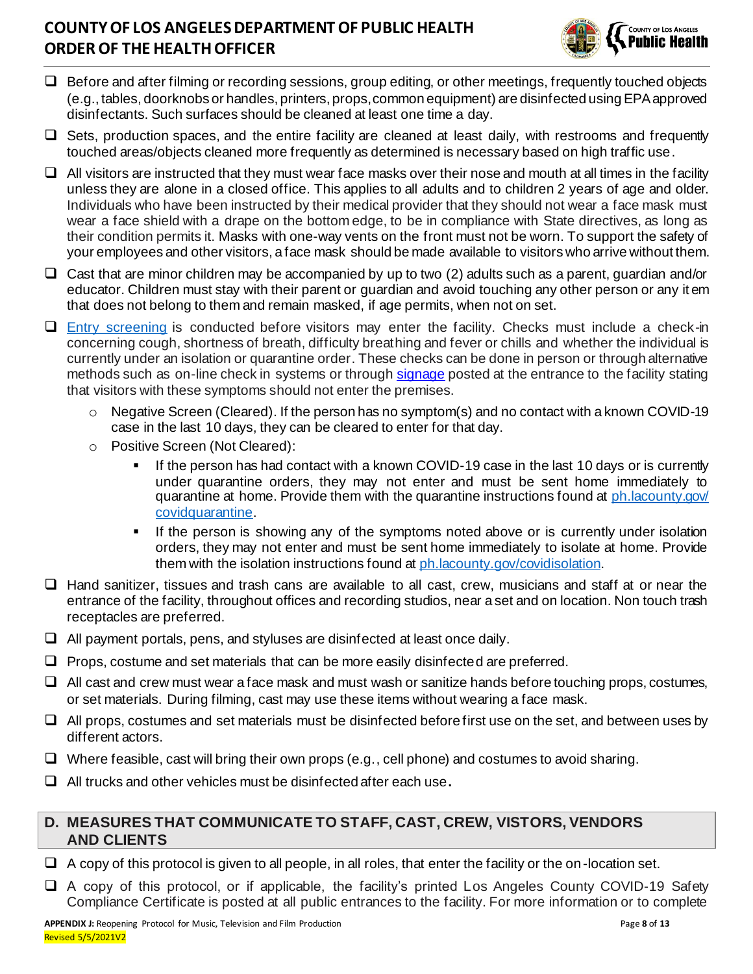

- ❑ Before and after filming or recording sessions, group editing, or other meetings, frequently touched objects (e.g., tables, doorknobs or handles, printers, props, common equipment) are disinfected using EPA approved disinfectants. Such surfaces should be cleaned at least one time a day.
- ❑ Sets, production spaces, and the entire facility are cleaned at least daily, with restrooms and frequently touched areas/objects cleaned more frequently as determined is necessary based on high traffic use.
- ❑ All visitors are instructed that they must wear face masks over their nose and mouth at all times in the facility unless they are alone in a closed office. This applies to all adults and to children 2 years of age and older. Individuals who have been instructed by their medical provider that they should not wear a face mask must wear a face shield with a drape on the bottom edge, to be in compliance with State directives, as long as their condition permits it. Masks with one-way vents on the front must not be worn. To support the safety of your employees and other visitors, a face mask should be made available to visitors who arrive without them.
- ❑ Cast that are minor children may be accompanied by up to two (2) adults such as a parent, guardian and/or educator. Children must stay with their parent or guardian and avoid touching any other person or any it em that does not belong to them and remain masked, if age permits, when not on set.
- ❑ Entry screening is conducted before visitors may enter the facility. Checks must include a check-in concerning cough, shortness of breath, difficulty breathing and fever or chills and whether the individual is currently under an isolation or quarantine order. These checks can be done in person or through alternative methods such as on-line check in systems or through signage posted at the entrance to the facility stating that visitors with these symptoms should not enter the premises.
	- Negative Screen (Cleared). If the person has no symptom(s) and no contact with a known COVID-19 case in the last 10 days, they can be cleared to enter for that day.
	- o Positive Screen (Not Cleared):
		- If the person has had contact with a known COVID-19 case in the last 10 days or is currently under quarantine orders, they may not enter and must be sent home immediately to quarantine at home. Provide them with the quarantine instructions found at ph.lacounty.gov/ covidquarantine.
		- If the person is showing any of the symptoms noted above or is currently under isolation orders, they may not enter and must be sent home immediately to isolate at home. Provide them with the isolation instructions found at ph.lacounty.gov/covidisolation.
- ❑ Hand sanitizer, tissues and trash cans are available to all cast, crew, musicians and staff at or near the entrance of the facility, throughout offices and recording studios, near a set and on location. Non touch trash receptacles are preferred.
- $\Box$  All payment portals, pens, and styluses are disinfected at least once daily.
- ❑ Props, costume and set materials that can be more easily disinfected are preferred.
- ❑ All cast and crew must wear a face mask and must wash or sanitize hands before touching props, costumes, or set materials. During filming, cast may use these items without wearing a face mask.
- ❑ All props, costumes and set materials must be disinfected before first use on the set, and between uses by different actors.
- ❑ Where feasible, cast will bring their own props (e.g., cell phone) and costumes to avoid sharing.
- ❑ All trucks and other vehicles must be disinfected after each use**.**

#### **D. MEASURES THAT COMMUNICATE TO STAFF, CAST, CREW, VISTORS, VENDORS AND CLIENTS**

- $\Box$  A copy of this protocol is given to all people, in all roles, that enter the facility or the on-location set.
- ❑ A copy of this protocol, or if applicable, the facility's printed Los Angeles County COVID-19 Safety Compliance Certificate is posted at all public entrances to the facility. For more information or to complete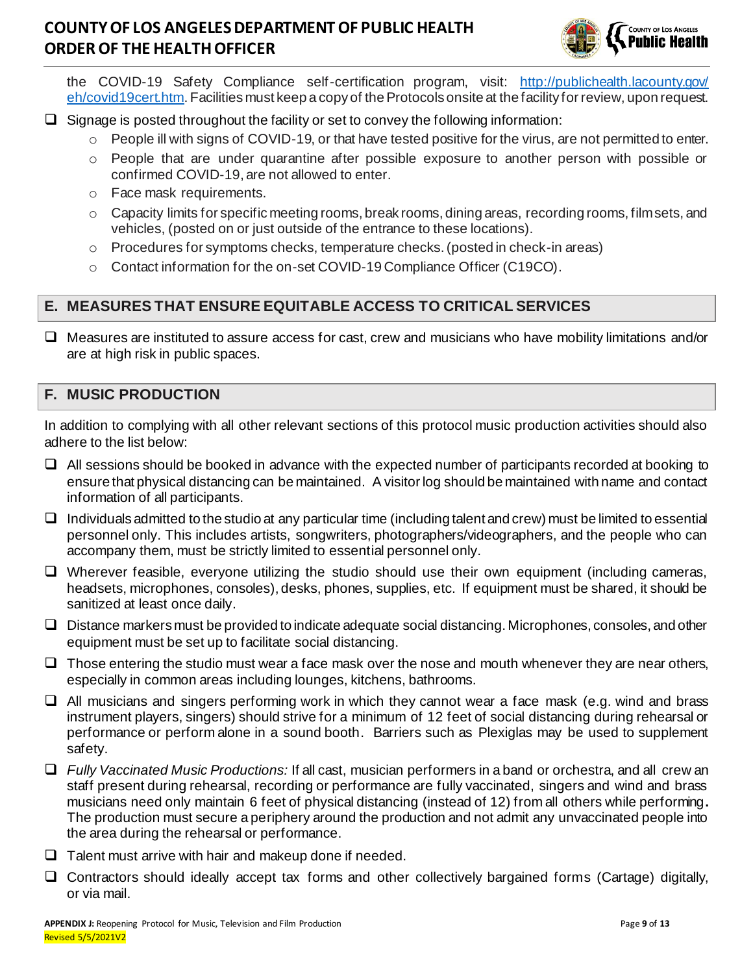

the COVID-19 Safety Compliance self-certification program, visit: http://publichealth.lacounty.gov/ eh/covid19cert.htm. Facilities must keep a copy of the Protocols onsite at the facility for review, upon request.

- ❑ Signage is posted throughout the facility or set to convey the following information:
	- People ill with signs of COVID-19, or that have tested positive for the virus, are not permitted to enter.
	- o People that are under quarantine after possible exposure to another person with possible or confirmed COVID-19, are not allowed to enter.
	- o Face mask requirements.
	- $\circ$  Capacity limits for specific meeting rooms, break rooms, dining areas, recording rooms, film sets, and vehicles, (posted on or just outside of the entrance to these locations).
	- o Procedures for symptoms checks, temperature checks. (posted in check-in areas)
	- o Contact information for the on-set COVID-19 Compliance Officer (C19CO).

### **E. MEASURES THAT ENSURE EQUITABLE ACCESS TO CRITICAL SERVICES**

❑ Measures are instituted to assure access for cast, crew and musicians who have mobility limitations and/or are at high risk in public spaces.

#### **F. MUSIC PRODUCTION**

In addition to complying with all other relevant sections of this protocol music production activities should also adhere to the list below:

- ❑ All sessions should be booked in advance with the expected number of participants recorded at booking to ensure that physical distancing can be maintained. A visitor log should be maintained with name and contact information of all participants.
- $\Box$  Individuals admitted to the studio at any particular time (including talent and crew) must be limited to essential personnel only. This includes artists, songwriters, photographers/videographers, and the people who can accompany them, must be strictly limited to essential personnel only.
- ❑ Wherever feasible, everyone utilizing the studio should use their own equipment (including cameras, headsets, microphones, consoles), desks, phones, supplies, etc. If equipment must be shared, it should be sanitized at least once daily.
- ❑ Distance markers must be provided to indicate adequate social distancing. Microphones, consoles, and other equipment must be set up to facilitate social distancing.
- $\Box$  Those entering the studio must wear a face mask over the nose and mouth whenever they are near others, especially in common areas including lounges, kitchens, bathrooms.
- ❑ All musicians and singers performing work in which they cannot wear a face mask (e.g. wind and brass instrument players, singers) should strive for a minimum of 12 feet of social distancing during rehearsal or performance or perform alone in a sound booth. Barriers such as Plexiglas may be used to supplement safety.
- ❑ *Fully Vaccinated Music Productions:* If all cast, musician performers in a band or orchestra, and all crew an staff present during rehearsal, recording or performance are fully vaccinated, singers and wind and brass musicians need only maintain 6 feet of physical distancing (instead of 12) from all others while performing**.**  The production must secure a periphery around the production and not admit any unvaccinated people into the area during the rehearsal or performance.
- ❑ Talent must arrive with hair and makeup done if needed.
- ❑ Contractors should ideally accept tax forms and other collectively bargained forms (Cartage) digitally, or via mail.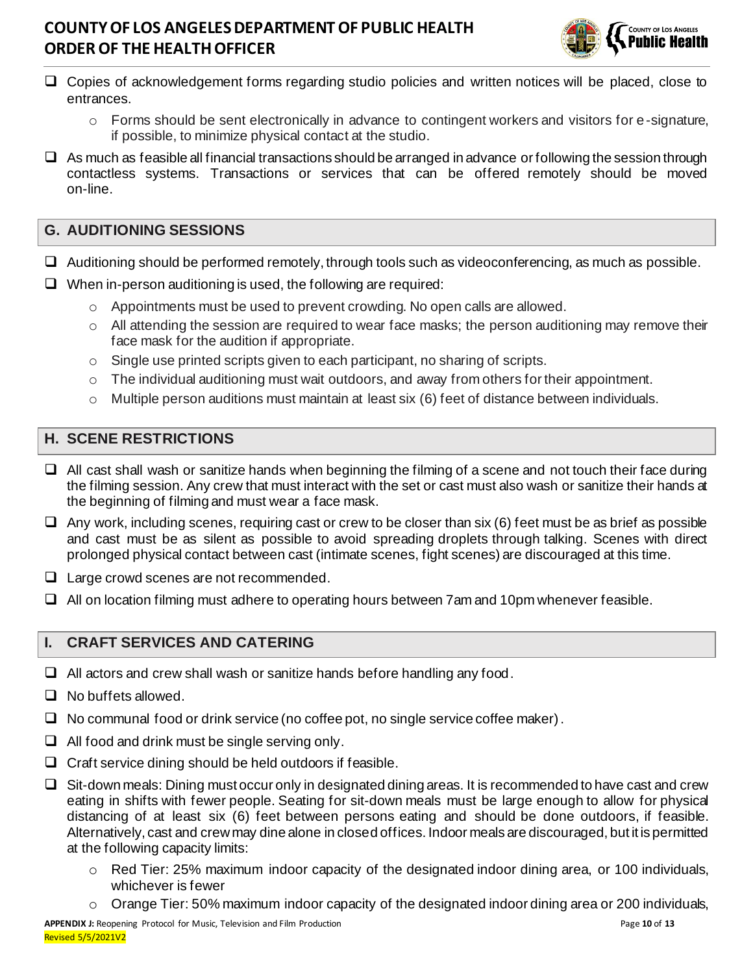

- ❑ Copies of acknowledgement forms regarding studio policies and written notices will be placed, close to entrances.
	- o Forms should be sent electronically in advance to contingent workers and visitors for e-signature, if possible, to minimize physical contact at the studio.
- ❑ As much as feasible all financial transactions should be arranged in advance or following the session through contactless systems. Transactions or services that can be offered remotely should be moved on-line.

### **G. AUDITIONING SESSIONS**

- ❑ Auditioning should be performed remotely, through tools such as videoconferencing, as much as possible.
- $\Box$  When in-person auditioning is used, the following are required:
	- $\circ$  Appointments must be used to prevent crowding. No open calls are allowed.
	- $\circ$  All attending the session are required to wear face masks; the person auditioning may remove their face mask for the audition if appropriate.
	- $\circ$  Single use printed scripts given to each participant, no sharing of scripts.
	- o The individual auditioning must wait outdoors, and away from others for their appointment.
	- o Multiple person auditions must maintain at least six (6) feet of distance between individuals.

### **H. SCENE RESTRICTIONS**

- ❑ All cast shall wash or sanitize hands when beginning the filming of a scene and not touch their face during the filming session. Any crew that must interact with the set or cast must also wash or sanitize their hands at the beginning of filming and must wear a face mask.
- $\Box$  Any work, including scenes, requiring cast or crew to be closer than six (6) feet must be as brief as possible and cast must be as silent as possible to avoid spreading droplets through talking. Scenes with direct prolonged physical contact between cast (intimate scenes, fight scenes) are discouraged at this time.
- ❑ Large crowd scenes are not recommended.
- ❑ All on location filming must adhere to operating hours between 7am and 10pm whenever feasible.

### **I. CRAFT SERVICES AND CATERING**

- $\Box$  All actors and crew shall wash or sanitize hands before handling any food.
- ❑ No buffets allowed.
- ❑ No communal food or drink service (no coffee pot, no single service coffee maker).
- $\Box$  All food and drink must be single serving only.
- ❑ Craft service dining should be held outdoors if feasible.
- ❑ Sit-down meals: Dining must occur only in designated dining areas. It is recommended to have cast and crew eating in shifts with fewer people. Seating for sit-down meals must be large enough to allow for physical distancing of at least six (6) feet between persons eating and should be done outdoors, if feasible. Alternatively, cast and crew may dine alone in closed offices. Indoor meals are discouraged, but it is permitted at the following capacity limits:
	- $\circ$  Red Tier: 25% maximum indoor capacity of the designated indoor dining area, or 100 individuals, whichever is fewer
	- o Orange Tier: 50% maximum indoor capacity of the designated indoor dining area or 200 individuals,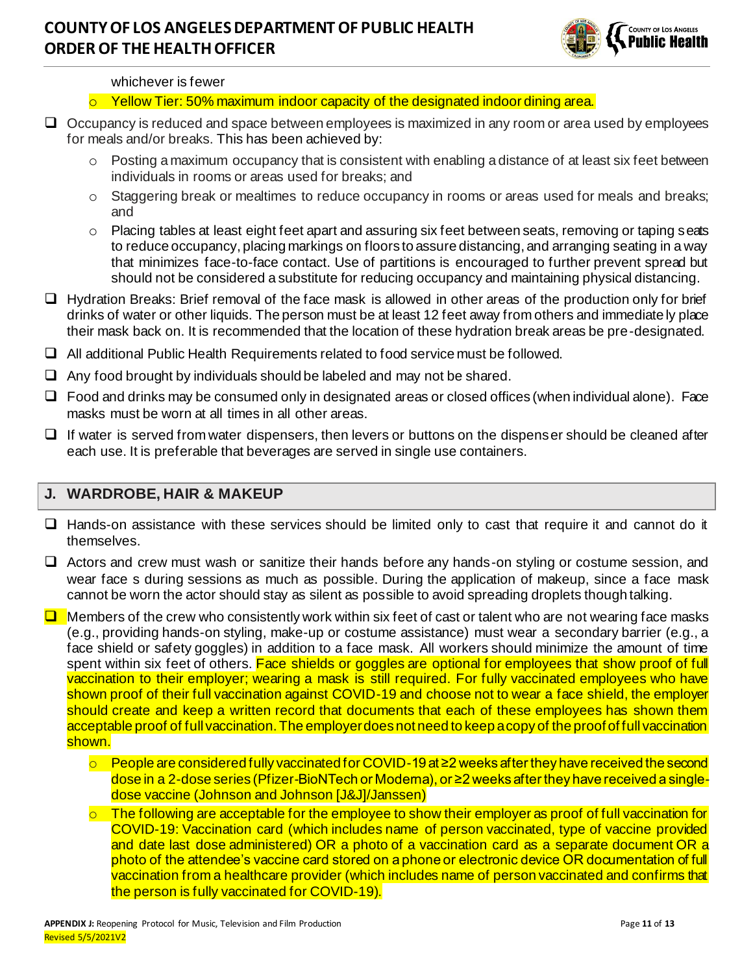

#### whichever is fewer

#### $\circ$  Yellow Tier: 50% maximum indoor capacity of the designated indoor dining area.

- ❑ Occupancy is reduced and space between employees is maximized in any room or area used by employees for meals and/or breaks. This has been achieved by:
	- $\circ$  Posting a maximum occupancy that is consistent with enabling a distance of at least six feet between individuals in rooms or areas used for breaks; and
	- o Staggering break or mealtimes to reduce occupancy in rooms or areas used for meals and breaks; and
	- o Placing tables at least eight feet apart and assuring six feet between seats, removing or taping seats to reduce occupancy, placing markings on floors to assure distancing, and arranging seating in a way that minimizes face-to-face contact. Use of partitions is encouraged to further prevent spread but should not be considered a substitute for reducing occupancy and maintaining physical distancing.
- ❑ Hydration Breaks: Brief removal of the face mask is allowed in other areas of the production only for brief drinks of water or other liquids. The person must be at least 12 feet away from others and immediate ly place their mask back on. It is recommended that the location of these hydration break areas be pre-designated.
- ❑ All additional Public Health Requirements related to food service must be followed.
- $\Box$  Any food brought by individuals should be labeled and may not be shared.
- ❑ Food and drinks may be consumed only in designated areas or closed offices (when individual alone). Face masks must be worn at all times in all other areas.
- ❑ If water is served from water dispensers, then levers or buttons on the dispenser should be cleaned after each use. It is preferable that beverages are served in single use containers.

#### **J. WARDROBE, HAIR & MAKEUP**

- ❑ Hands-on assistance with these services should be limited only to cast that require it and cannot do it themselves.
- ❑ Actors and crew must wash or sanitize their hands before any hands-on styling or costume session, and wear face s during sessions as much as possible. During the application of makeup, since a face mask cannot be worn the actor should stay as silent as possible to avoid spreading droplets though talking.

❑ Members of the crew who consistently work within six feet of cast or talent who are not wearing face masks (e.g., providing hands-on styling, make-up or costume assistance) must wear a secondary barrier (e.g., a face shield or safety goggles) in addition to a face mask. All workers should minimize the amount of time spent within six feet of others. Face shields or goggles are optional for employees that show proof of full vaccination to their employer; wearing a mask is still required. For fully vaccinated employees who have shown proof of their full vaccination against COVID-19 and choose not to wear a face shield, the employer should create and keep a written record that documents that each of these employees has shown them acceptable proof of full vaccination. The employer does not need to keep a copy of the proof of full vaccination shown.

- o People are considered fully vaccinated for COVID-19 at ≥2 weeks after they have received the second dose in a 2-dose series (Pfizer-BioNTech or Moderna), or ≥2 weeks after they have received a singledose vaccine (Johnson and Johnson [J&J]/Janssen)
- $\circ$  The following are acceptable for the employee to show their employer as proof of full vaccination for COVID-19: Vaccination card (which includes name of person vaccinated, type of vaccine provided and date last dose administered) OR a photo of a vaccination card as a separate document OR a photo of the attendee's vaccine card stored on a phone or electronic device OR documentation of full vaccination from a healthcare provider (which includes name of person vaccinated and confirms that the person is fully vaccinated for COVID-19).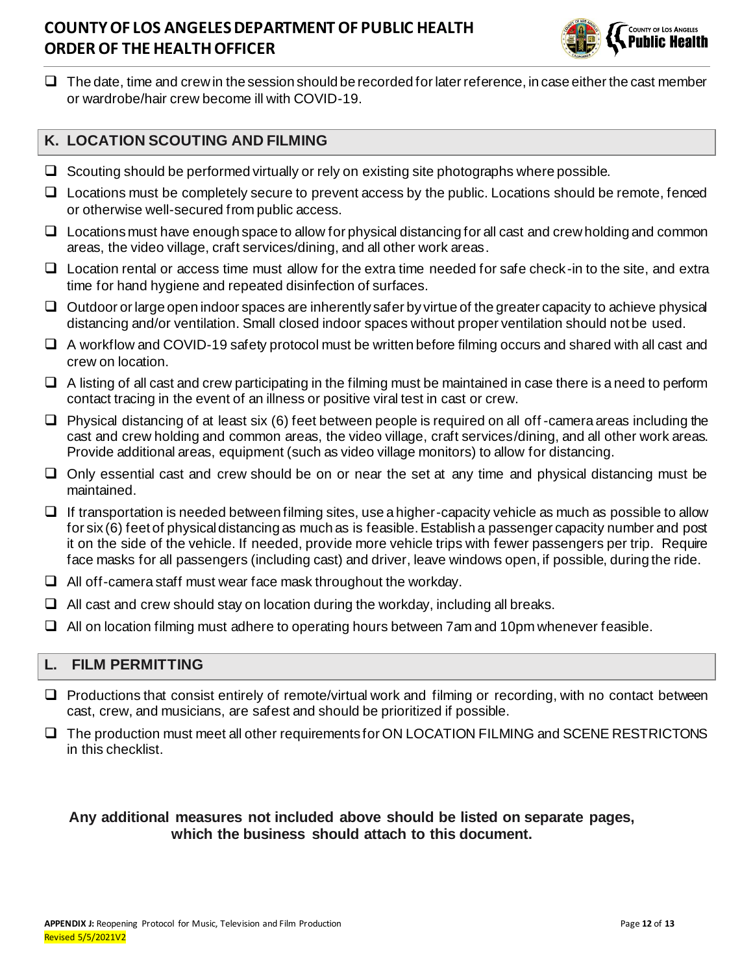

 $\Box$  The date, time and crew in the session should be recorded for later reference, in case either the cast member or wardrobe/hair crew become ill with COVID-19.

### **K. LOCATION SCOUTING AND FILMING**

- $\Box$  Scouting should be performed virtually or rely on existing site photographs where possible.
- ❑ Locations must be completely secure to prevent access by the public. Locations should be remote, fenced or otherwise well-secured from public access.
- $\Box$  Locations must have enough space to allow for physical distancing for all cast and crew holding and common areas, the video village, craft services/dining, and all other work areas.
- ❑ Location rental or access time must allow for the extra time needed for safe check-in to the site, and extra time for hand hygiene and repeated disinfection of surfaces.
- ❑ Outdoor or large open indoor spaces are inherently safer by virtue of the greater capacity to achieve physical distancing and/or ventilation. Small closed indoor spaces without proper ventilation should not be used.
- ❑ A workflow and COVID-19 safety protocol must be written before filming occurs and shared with all cast and crew on location.
- ❑ A listing of all cast and crew participating in the filming must be maintained in case there is a need to perform contact tracing in the event of an illness or positive viral test in cast or crew.
- ❑ Physical distancing of at least six (6) feet between people is required on all off -camera areas including the cast and crew holding and common areas, the video village, craft services/dining, and all other work areas. Provide additional areas, equipment (such as video village monitors) to allow for distancing.
- ❑ Only essential cast and crew should be on or near the set at any time and physical distancing must be maintained.
- $\Box$  If transportation is needed between filming sites, use a higher-capacity vehicle as much as possible to allow for six (6) feet of physical distancing as much as is feasible. Establish a passenger capacity number and post it on the side of the vehicle. If needed, provide more vehicle trips with fewer passengers per trip. Require face masks for all passengers (including cast) and driver, leave windows open, if possible, during the ride.
- $\Box$  All off-camera staff must wear face mask throughout the workday.
- $\Box$  All cast and crew should stay on location during the workday, including all breaks.
- ❑ All on location filming must adhere to operating hours between 7am and 10pm whenever feasible.

### **L. FILM PERMITTING**

- ❑ Productions that consist entirely of remote/virtual work and filming or recording, with no contact between cast, crew, and musicians, are safest and should be prioritized if possible.
- ❑ The production must meet all other requirements for ON LOCATION FILMING and SCENE RESTRICTONS in this checklist.

#### **Any additional measures not included above should be listed on separate pages, which the business should attach to this document.**